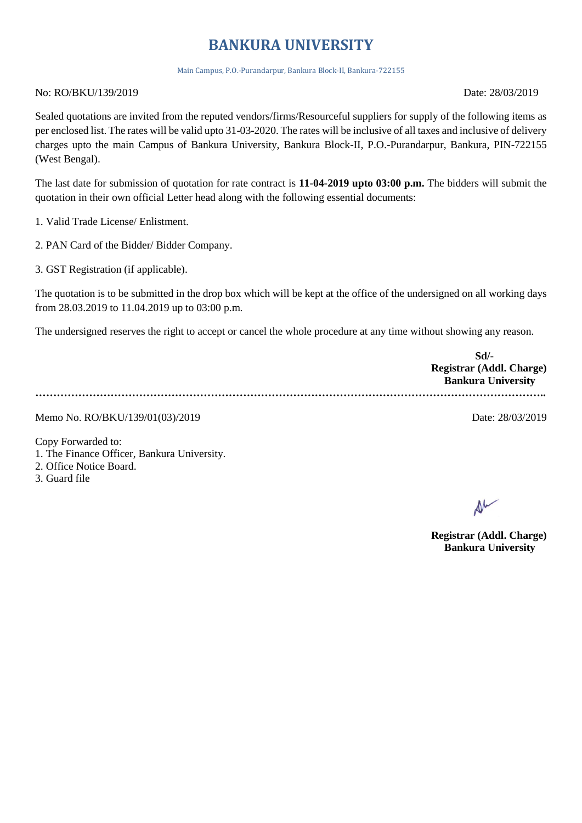## **BANKURA UNIVERSITY**

Main Campus, P.O.-Purandarpur, Bankura Block-II, Bankura-722155

No: RO/BKU/139/2019 Date: 28/03/2019

Sealed quotations are invited from the reputed vendors/firms/Resourceful suppliers for supply of the following items as per enclosed list. The rates will be valid upto 31-03-2020. The rates will be inclusive of all taxes and inclusive of delivery charges upto the main Campus of Bankura University, Bankura Block-II, P.O.-Purandarpur, Bankura, PIN-722155 (West Bengal).

The last date for submission of quotation for rate contract is **11-04-2019 upto 03:00 p.m.** The bidders will submit the quotation in their own official Letter head along with the following essential documents:

1. Valid Trade License/ Enlistment.

2. PAN Card of the Bidder/ Bidder Company.

3. GST Registration (if applicable).

The quotation is to be submitted in the drop box which will be kept at the office of the undersigned on all working days from 28.03.2019 to 11.04.2019 up to 03:00 p.m.

The undersigned reserves the right to accept or cancel the whole procedure at any time without showing any reason.

**Sd/- Registrar (Addl. Charge) Bankura University ……………………………………………………………………………………………………………………………..**

Memo No. RO/BKU/139/01(03)/2019 Date: 28/03/2019

Copy Forwarded to:

1. The Finance Officer, Bankura University.

2. Office Notice Board.

3. Guard file

**Registrar (Addl. Charge) Bankura University**